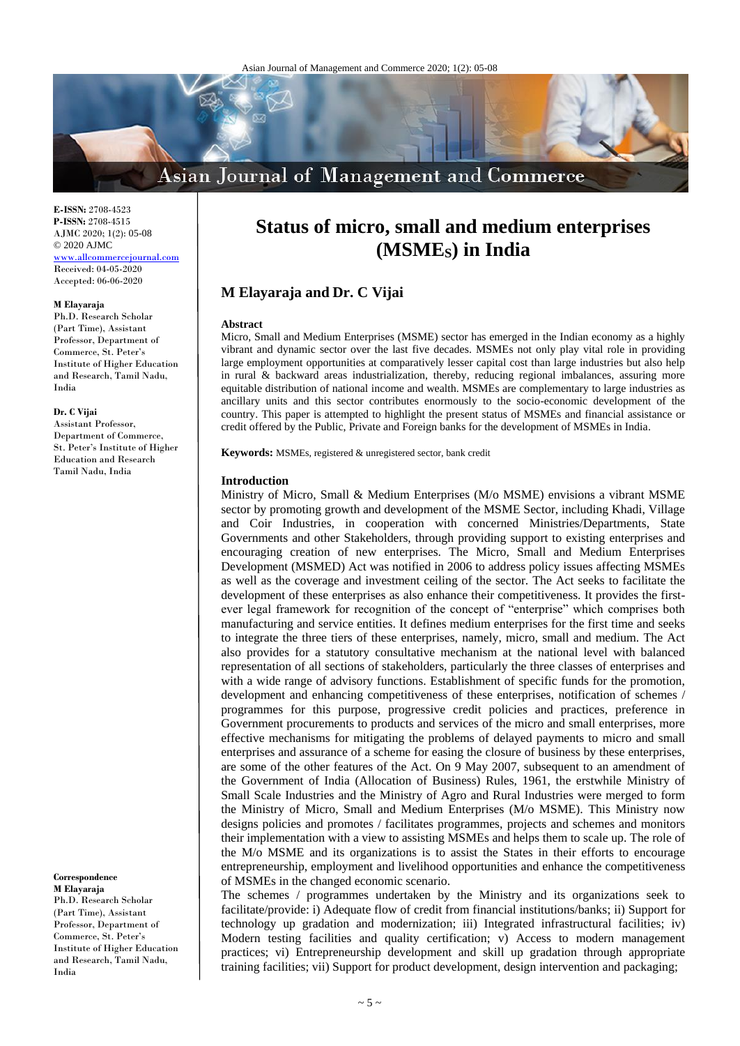# **Asian Journal of Management and Commerce**

**E-ISSN:** 2708-4523 **P-ISSN:** 2708-4515 AJMC 2020; 1(2): 05-08  $@ 2020$  AJMC <www.allcommercejournal.com> Received: 04-05-2020 Accepted: 06-06-2020

#### **M Elayaraja**

Ph.D. Research Scholar (Part Time), Assistant Professor, Department of Commerce, St. Peter's Institute of Higher Education and Research, Tamil Nadu, India

#### **Dr. C Vijai**

Assistant Professor, Department of Commerce, St. Peter's Institute of Higher Education and Research Tamil Nadu, India

**Correspondence**

**M Elayaraja** Ph.D. Research Scholar (Part Time), Assistant Professor, Department of Commerce, St. Peter's Institute of Higher Education and Research, Tamil Nadu, India

## **Status of micro, small and medium enterprises (MSMES) in India**

## **M Elayaraja and Dr. C Vijai**

#### **Abstract**

Micro, Small and Medium Enterprises (MSME) sector has emerged in the Indian economy as a highly vibrant and dynamic sector over the last five decades. MSMEs not only play vital role in providing large employment opportunities at comparatively lesser capital cost than large industries but also help in rural & backward areas industrialization, thereby, reducing regional imbalances, assuring more equitable distribution of national income and wealth. MSMEs are complementary to large industries as ancillary units and this sector contributes enormously to the socio-economic development of the country. This paper is attempted to highlight the present status of MSMEs and financial assistance or credit offered by the Public, Private and Foreign banks for the development of MSMEs in India.

**Keywords:** MSMEs, registered & unregistered sector, bank credit

## **Introduction**

Ministry of Micro, Small & Medium Enterprises (M/o MSME) envisions a vibrant MSME sector by promoting growth and development of the MSME Sector, including Khadi, Village and Coir Industries, in cooperation with concerned Ministries/Departments, State Governments and other Stakeholders, through providing support to existing enterprises and encouraging creation of new enterprises. The Micro, Small and Medium Enterprises Development (MSMED) Act was notified in 2006 to address policy issues affecting MSMEs as well as the coverage and investment ceiling of the sector. The Act seeks to facilitate the development of these enterprises as also enhance their competitiveness. It provides the firstever legal framework for recognition of the concept of "enterprise" which comprises both manufacturing and service entities. It defines medium enterprises for the first time and seeks to integrate the three tiers of these enterprises, namely, micro, small and medium. The Act also provides for a statutory consultative mechanism at the national level with balanced representation of all sections of stakeholders, particularly the three classes of enterprises and with a wide range of advisory functions. Establishment of specific funds for the promotion, development and enhancing competitiveness of these enterprises, notification of schemes / programmes for this purpose, progressive credit policies and practices, preference in Government procurements to products and services of the micro and small enterprises, more effective mechanisms for mitigating the problems of delayed payments to micro and small enterprises and assurance of a scheme for easing the closure of business by these enterprises, are some of the other features of the Act. On 9 May 2007, subsequent to an amendment of the Government of India (Allocation of Business) Rules, 1961, the erstwhile Ministry of Small Scale Industries and the Ministry of Agro and Rural Industries were merged to form the Ministry of Micro, Small and Medium Enterprises (M/o MSME). This Ministry now designs policies and promotes / facilitates programmes, projects and schemes and monitors their implementation with a view to assisting MSMEs and helps them to scale up. The role of the M/o MSME and its organizations is to assist the States in their efforts to encourage entrepreneurship, employment and livelihood opportunities and enhance the competitiveness of MSMEs in the changed economic scenario.

The schemes / programmes undertaken by the Ministry and its organizations seek to facilitate/provide: i) Adequate flow of credit from financial institutions/banks; ii) Support for technology up gradation and modernization; iii) Integrated infrastructural facilities; iv) Modern testing facilities and quality certification; v) Access to modern management practices; vi) Entrepreneurship development and skill up gradation through appropriate training facilities; vii) Support for product development, design intervention and packaging;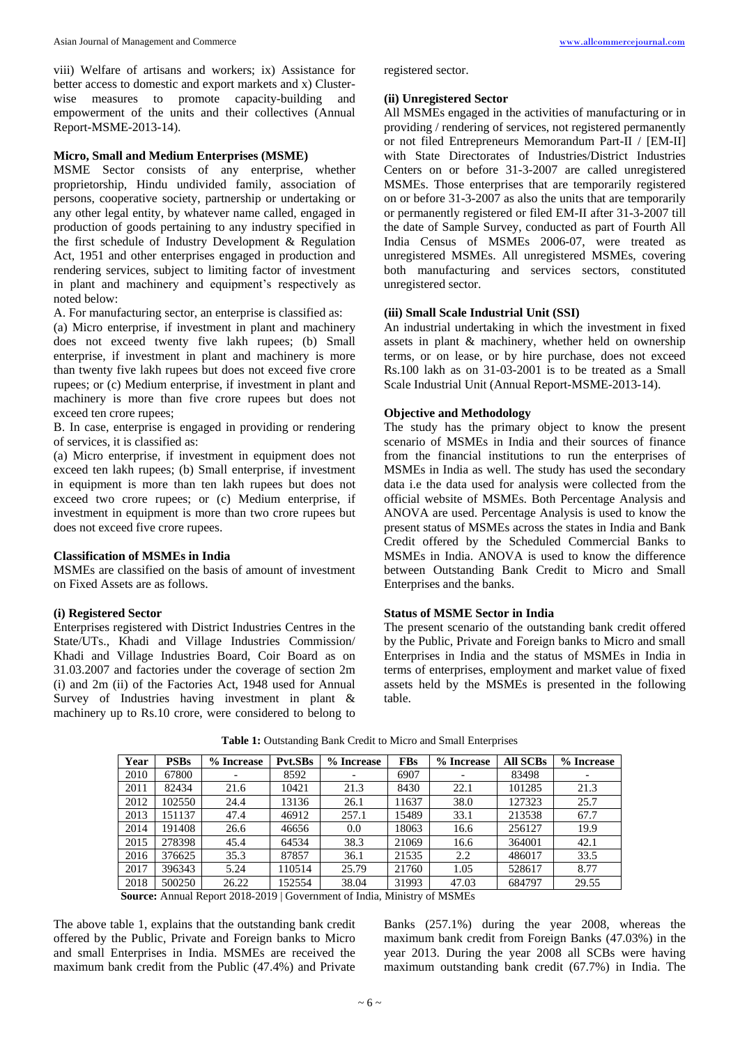viii) Welfare of artisans and workers; ix) Assistance for better access to domestic and export markets and x) Clusterwise measures to promote capacity-building and empowerment of the units and their collectives (Annual Report-MSME-2013-14).

## **Micro, Small and Medium Enterprises (MSME)**

MSME Sector consists of any enterprise, whether proprietorship, Hindu undivided family, association of persons, cooperative society, partnership or undertaking or any other legal entity, by whatever name called, engaged in production of goods pertaining to any industry specified in the first schedule of Industry Development & Regulation Act, 1951 and other enterprises engaged in production and rendering services, subject to limiting factor of investment in plant and machinery and equipment's respectively as noted below:

A. For manufacturing sector, an enterprise is classified as:

(a) Micro enterprise, if investment in plant and machinery does not exceed twenty five lakh rupees; (b) Small enterprise, if investment in plant and machinery is more than twenty five lakh rupees but does not exceed five crore rupees; or (c) Medium enterprise, if investment in plant and machinery is more than five crore rupees but does not exceed ten crore rupees;

B. In case, enterprise is engaged in providing or rendering of services, it is classified as:

(a) Micro enterprise, if investment in equipment does not exceed ten lakh rupees; (b) Small enterprise, if investment in equipment is more than ten lakh rupees but does not exceed two crore rupees; or (c) Medium enterprise, if investment in equipment is more than two crore rupees but does not exceed five crore rupees.

### **Classification of MSMEs in India**

MSMEs are classified on the basis of amount of investment on Fixed Assets are as follows.

#### **(i) Registered Sector**

Enterprises registered with District Industries Centres in the State/UTs., Khadi and Village Industries Commission/ Khadi and Village Industries Board, Coir Board as on 31.03.2007 and factories under the coverage of section 2m (i) and 2m (ii) of the Factories Act, 1948 used for Annual Survey of Industries having investment in plant & machinery up to Rs.10 crore, were considered to belong to registered sector.

#### **(ii) Unregistered Sector**

All MSMEs engaged in the activities of manufacturing or in providing / rendering of services, not registered permanently or not filed Entrepreneurs Memorandum Part-II / [EM-II] with State Directorates of Industries/District Industries Centers on or before 31-3-2007 are called unregistered MSMEs. Those enterprises that are temporarily registered on or before 31-3-2007 as also the units that are temporarily or permanently registered or filed EM-II after 31-3-2007 till the date of Sample Survey, conducted as part of Fourth All India Census of MSMEs 2006-07, were treated as unregistered MSMEs. All unregistered MSMEs, covering both manufacturing and services sectors, constituted unregistered sector.

#### **(iii) Small Scale Industrial Unit (SSI)**

An industrial undertaking in which the investment in fixed assets in plant & machinery, whether held on ownership terms, or on lease, or by hire purchase, does not exceed Rs.100 lakh as on 31-03-2001 is to be treated as a Small Scale Industrial Unit (Annual Report-MSME-2013-14).

#### **Objective and Methodology**

The study has the primary object to know the present scenario of MSMEs in India and their sources of finance from the financial institutions to run the enterprises of MSMEs in India as well. The study has used the secondary data i.e the data used for analysis were collected from the official website of MSMEs. Both Percentage Analysis and ANOVA are used. Percentage Analysis is used to know the present status of MSMEs across the states in India and Bank Credit offered by the Scheduled Commercial Banks to MSMEs in India. ANOVA is used to know the difference between Outstanding Bank Credit to Micro and Small Enterprises and the banks.

#### **Status of MSME Sector in India**

The present scenario of the outstanding bank credit offered by the Public, Private and Foreign banks to Micro and small Enterprises in India and the status of MSMEs in India in terms of enterprises, employment and market value of fixed assets held by the MSMEs is presented in the following table.

| Year | <b>PSBs</b> | % Increase | Pvt.SBs | % Increase | <b>FBs</b> | % Increase | <b>All SCBs</b> | % Increase |
|------|-------------|------------|---------|------------|------------|------------|-----------------|------------|
| 2010 | 67800       |            | 8592    |            | 6907       |            | 83498           |            |
| 2011 | 82434       | 21.6       | 10421   | 21.3       | 8430       | 22.1       | 101285          | 21.3       |
| 2012 | 102550      | 24.4       | 13136   | 26.1       | 11637      | 38.0       | 127323          | 25.7       |
| 2013 | 151137      | 47.4       | 46912   | 257.1      | 15489      | 33.1       | 213538          | 67.7       |
| 2014 | 191408      | 26.6       | 46656   | 0.0        | 18063      | 16.6       | 256127          | 19.9       |
| 2015 | 278398      | 45.4       | 64534   | 38.3       | 21069      | 16.6       | 364001          | 42.1       |
| 2016 | 376625      | 35.3       | 87857   | 36.1       | 21535      | 2.2        | 486017          | 33.5       |
| 2017 | 396343      | 5.24       | 110514  | 25.79      | 21760      | 1.05       | 528617          | 8.77       |
| 2018 | 500250      | 26.22      | 152554  | 38.04      | 31993      | 47.03      | 684797          | 29.55      |

**Table 1:** Outstanding Bank Credit to Micro and Small Enterprises

**Source:** Annual Report 2018-2019 | Government of India, Ministry of MSMEs

The above table 1, explains that the outstanding bank credit offered by the Public, Private and Foreign banks to Micro and small Enterprises in India. MSMEs are received the maximum bank credit from the Public (47.4%) and Private

Banks (257.1%) during the year 2008, whereas the maximum bank credit from Foreign Banks (47.03%) in the year 2013. During the year 2008 all SCBs were having maximum outstanding bank credit (67.7%) in India. The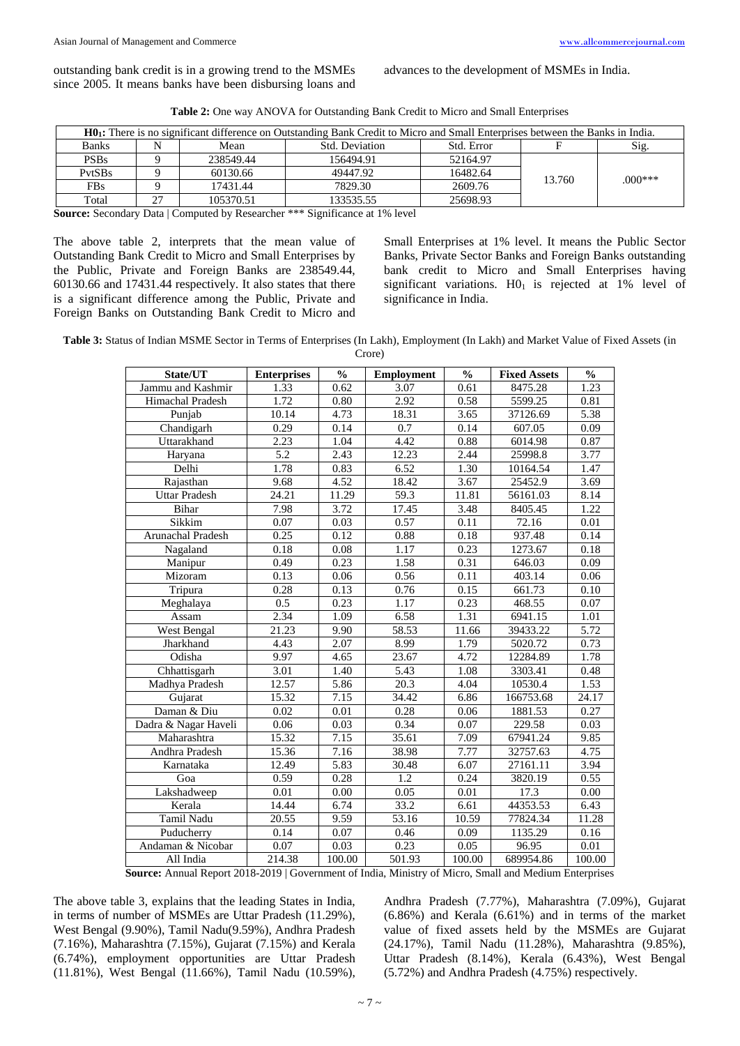outstanding bank credit is in a growing trend to the MSMEs since 2005. It means banks have been disbursing loans and

advances to the development of MSMEs in India.

| <b>Table 2:</b> One way ANOVA for Outstanding Bank Credit to Micro and Small Enterprises |  |  |
|------------------------------------------------------------------------------------------|--|--|
|                                                                                          |  |  |

| <b>H0</b> <sub>1</sub> : There is no significant difference on Outstanding Bank Credit to Micro and Small Enterprises between the Banks in India. |  |           |                |            |        |           |  |
|---------------------------------------------------------------------------------------------------------------------------------------------------|--|-----------|----------------|------------|--------|-----------|--|
| <b>Banks</b>                                                                                                                                      |  | Mean      | Std. Deviation | Std. Error |        | Sig.      |  |
| <b>PSBs</b>                                                                                                                                       |  | 238549.44 | 156494.91      | 52164.97   |        | $.000***$ |  |
| <b>PvtSBs</b>                                                                                                                                     |  | 60130.66  | 49447.92       | 16482.64   | 13.760 |           |  |
| <b>FBs</b>                                                                                                                                        |  | 17431.44  | 7829.30        | 2609.76    |        |           |  |
| Total                                                                                                                                             |  | 105370.51 | 133535.55      | 25698.93   |        |           |  |

**Source:** Secondary Data | Computed by Researcher \*\*\* Significance at 1% level

The above table 2, interprets that the mean value of Outstanding Bank Credit to Micro and Small Enterprises by the Public, Private and Foreign Banks are 238549.44, 60130.66 and 17431.44 respectively. It also states that there is a significant difference among the Public, Private and Foreign Banks on Outstanding Bank Credit to Micro and Small Enterprises at 1% level. It means the Public Sector Banks, Private Sector Banks and Foreign Banks outstanding bank credit to Micro and Small Enterprises having significant variations.  $H0<sub>1</sub>$  is rejected at 1% level of significance in India.

**Table 3:** Status of Indian MSME Sector in Terms of Enterprises (In Lakh), Employment (In Lakh) and Market Value of Fixed Assets (in Crore)

| State/UT                 | <b>Enterprises</b> | $\frac{0}{0}$ | <b>Employment</b> | $\frac{0}{0}$ | <b>Fixed Assets</b> | $\frac{0}{0}$ |
|--------------------------|--------------------|---------------|-------------------|---------------|---------------------|---------------|
| Jammu and Kashmir        | 1.33               | 0.62          | 3.07              | 0.61          | 8475.28             | 1.23          |
| Himachal Pradesh         | 1.72               | 0.80          | 2.92              | 0.58          | 5599.25             | 0.81          |
| Punjab                   | 10.14              | 4.73          | 18.31             | 3.65          | 37126.69            | 5.38          |
| Chandigarh               | 0.29               | 0.14          | 0.7               | 0.14          | 607.05              | 0.09          |
| Uttarakhand              | 2.23               | 1.04          | 4.42              | 0.88          | 6014.98             | 0.87          |
| Haryana                  | 5.2                | 2.43          | 12.23             | 2.44          | 25998.8             | 3.77          |
| Delhi                    | 1.78               | 0.83          | 6.52              | 1.30          | 10164.54            | 1.47          |
| Rajasthan                | 9.68               | 4.52          | 18.42             | 3.67          | 25452.9             | 3.69          |
| <b>Uttar Pradesh</b>     | 24.21              | 11.29         | 59.3              | 11.81         | 56161.03            | 8.14          |
| <b>Bihar</b>             | 7.98               | 3.72          | 17.45             | 3.48          | 8405.45             | 1.22          |
| Sikkim                   | 0.07               | 0.03          | 0.57              | 0.11          | 72.16               | 0.01          |
| <b>Arunachal Pradesh</b> | 0.25               | 0.12          | 0.88              | 0.18          | 937.48              | 0.14          |
| Nagaland                 | 0.18               | 0.08          | 1.17              | 0.23          | 1273.67             | 0.18          |
| Manipur                  | 0.49               | 0.23          | 1.58              | 0.31          | 646.03              | 0.09          |
| Mizoram                  | 0.13               | 0.06          | 0.56              | 0.11          | 403.14              | 0.06          |
| Tripura                  | 0.28               | 0.13          | 0.76              | 0.15          | 661.73              | 0.10          |
| Meghalaya                | 0.5                | 0.23          | 1.17              | 0.23          | 468.55              | 0.07          |
| Assam                    | 2.34               | 1.09          | 6.58              | 1.31          | 6941.15             | 1.01          |
| West Bengal              | 21.23              | 9.90          | 58.53             | 11.66         | 39433.22            | 5.72          |
| Jharkhand                | 4.43               | 2.07          | 8.99              | 1.79          | 5020.72             | 0.73          |
| Odisha                   | 9.97               | 4.65          | 23.67             | 4.72          | 12284.89            | 1.78          |
| Chhattisgarh             | 3.01               | 1.40          | 5.43              | 1.08          | 3303.41             | 0.48          |
| Madhya Pradesh           | 12.57              | 5.86          | 20.3              | 4.04          | 10530.4             | 1.53          |
| Gujarat                  | 15.32              | 7.15          | 34.42             | 6.86          | 166753.68           | 24.17         |
| Daman & Diu              | 0.02               | 0.01          | 0.28              | 0.06          | 1881.53             | 0.27          |
| Dadra & Nagar Haveli     | 0.06               | 0.03          | 0.34              | 0.07          | 229.58              | 0.03          |
| Maharashtra              | 15.32              | 7.15          | 35.61             | 7.09          | 67941.24            | 9.85          |
| Andhra Pradesh           | 15.36              | 7.16          | 38.98             | 7.77          | 32757.63            | 4.75          |
| Karnataka                | 12.49              | 5.83          | 30.48             | 6.07          | 27161.11            | 3.94          |
| Goa                      | 0.59               | 0.28          | 1.2               | 0.24          | 3820.19             | 0.55          |
| Lakshadweep              | 0.01               | 0.00          | 0.05              | 0.01          | 17.3                | 0.00          |
| Kerala                   | 14.44              | 6.74          | 33.2              | 6.61          | 44353.53            | 6.43          |
| Tamil Nadu               | 20.55              | 9.59          | 53.16             | 10.59         | 77824.34            | 11.28         |
| Puducherry               | 0.14               | 0.07          | 0.46              | 0.09          | 1135.29             | 0.16          |
| Andaman & Nicobar        | 0.07               | 0.03          | 0.23              | 0.05          | 96.95               | 0.01          |
| All India                | 214.38             | 100.00        | 501.93            | 100.00        | 689954.86           | 100.00        |

**Source:** Annual Report 2018-2019 | Government of India, Ministry of Micro, Small and Medium Enterprises

The above table 3, explains that the leading States in India, in terms of number of MSMEs are Uttar Pradesh (11.29%), West Bengal (9.90%), Tamil Nadu(9.59%), Andhra Pradesh (7.16%), Maharashtra (7.15%), Gujarat (7.15%) and Kerala (6.74%), employment opportunities are Uttar Pradesh (11.81%), West Bengal (11.66%), Tamil Nadu (10.59%),

Andhra Pradesh (7.77%), Maharashtra (7.09%), Gujarat (6.86%) and Kerala (6.61%) and in terms of the market value of fixed assets held by the MSMEs are Gujarat (24.17%), Tamil Nadu (11.28%), Maharashtra (9.85%), Uttar Pradesh (8.14%), Kerala (6.43%), West Bengal (5.72%) and Andhra Pradesh (4.75%) respectively.